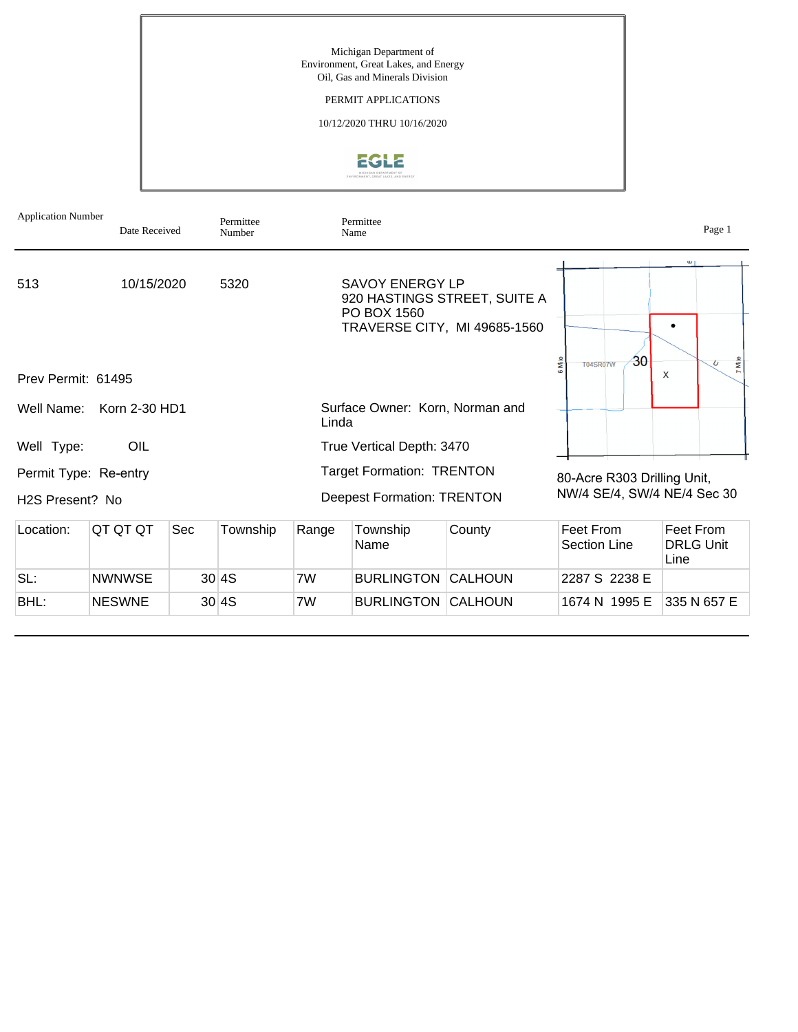Michigan Department of Environment, Great Lakes, and Energy Oil, Gas and Minerals Division

### PERMIT APPLICATIONS

10/12/2020 THRU 10/16/2020



| <b>Application Number</b>                             | Date Received |     | Permittee<br>Number |                           | Permittee<br>Name                                                     |                                                              |                                 | Page 1                                |
|-------------------------------------------------------|---------------|-----|---------------------|---------------------------|-----------------------------------------------------------------------|--------------------------------------------------------------|---------------------------------|---------------------------------------|
| 513                                                   | 10/15/2020    |     | 5320                |                           | SAVOY ENERGY LP<br>PO BOX 1560                                        | 920 HASTINGS STREET, SUITE A<br>TRAVERSE CITY, MI 49685-1560 |                                 |                                       |
| Prev Permit: 61495                                    |               |     |                     |                           |                                                                       |                                                              | 30<br>6 Mile<br><b>T04SR07W</b> | 7 Mile<br>$\overline{U}$<br>X         |
| Well Name:                                            | Korn 2-30 HD1 |     |                     | Linda                     | Surface Owner: Korn, Norman and                                       |                                                              |                                 |                                       |
| Well Type:                                            | OIL           |     |                     | True Vertical Depth: 3470 |                                                                       |                                                              |                                 |                                       |
| Permit Type: Re-entry<br>H <sub>2</sub> S Present? No |               |     |                     |                           | <b>Target Formation: TRENTON</b><br><b>Deepest Formation: TRENTON</b> | 80-Acre R303 Drilling Unit,<br>NW/4 SE/4, SW/4 NE/4 Sec 30   |                                 |                                       |
| Location:                                             | QT QT QT      | Sec | Township            | Range                     | Township<br>Name                                                      | County                                                       | Feet From<br>Section Line       | Feet From<br><b>DRLG Unit</b><br>Line |
| SL:                                                   | <b>NWNWSE</b> |     | 30 4S               | 7W                        | <b>BURLINGTON</b>                                                     | <b>CALHOUN</b>                                               | 2287 S 2238 E                   |                                       |
| BHL:                                                  | <b>NESWNE</b> |     | 30 4S               | 7W                        | <b>BURLINGTON CALHOUN</b>                                             |                                                              | 1674 N 1995 E                   | 335 N 657 E                           |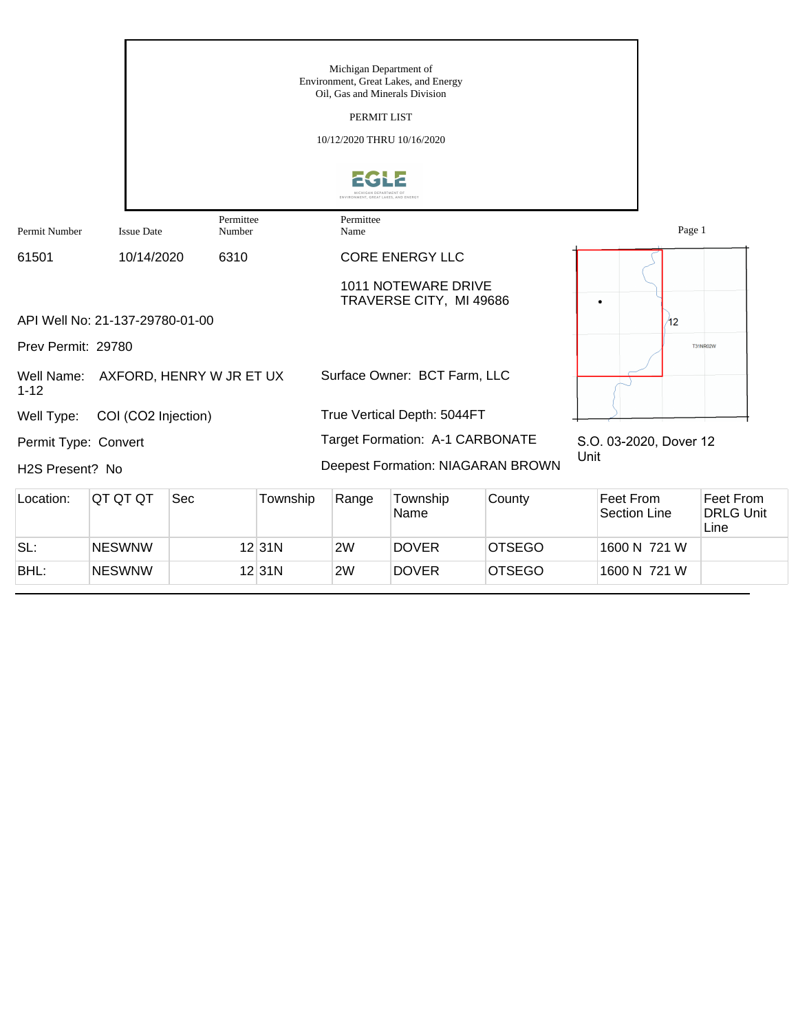|                                |                                 |                                     |          | Michigan Department of<br>Oil, Gas and Minerals Division<br>PERMIT LIST<br>10/12/2020 THRU 10/16/2020 | Environment, Great Lakes, and Energy           |        |                                  |                        |                               |
|--------------------------------|---------------------------------|-------------------------------------|----------|-------------------------------------------------------------------------------------------------------|------------------------------------------------|--------|----------------------------------|------------------------|-------------------------------|
|                                |                                 |                                     |          |                                                                                                       |                                                |        |                                  |                        |                               |
| Permit Number                  | <b>Issue Date</b>               | Permittee<br>Number                 |          | Permittee<br>Name                                                                                     |                                                |        |                                  | Page 1                 |                               |
| 61501                          | 10/14/2020                      | 6310                                |          |                                                                                                       | <b>CORE ENERGY LLC</b>                         |        |                                  |                        |                               |
|                                | API Well No: 21-137-29780-01-00 |                                     |          |                                                                                                       | 1011 NOTEWARE DRIVE<br>TRAVERSE CITY, MI 49686 |        | ٠                                |                        |                               |
|                                |                                 |                                     |          |                                                                                                       |                                                |        |                                  | 42                     |                               |
| Prev Permit: 29780<br>$1 - 12$ |                                 | Well Name: AXFORD, HENRY W JR ET UX |          |                                                                                                       | Surface Owner: BCT Farm, LLC                   |        |                                  |                        | <b>T31NR02W</b>               |
| Well Type:                     | COI (CO2 Injection)             |                                     |          |                                                                                                       | True Vertical Depth: 5044FT                    |        |                                  |                        |                               |
| Permit Type: Convert           |                                 |                                     |          |                                                                                                       | Target Formation: A-1 CARBONATE                |        |                                  | S.O. 03-2020, Dover 12 |                               |
| H2S Present? No                |                                 |                                     |          |                                                                                                       | Deepest Formation: NIAGARAN BROWN              |        | Unit                             |                        |                               |
| Location:                      | QT QT QT                        | Sec                                 | Township | Range                                                                                                 | Township<br>Name                               | County | Feet From<br><b>Section Line</b> |                        | Feet From<br><b>DRLG Unit</b> |

|      |               |        |    | Name         |               | Section Line | <b>DRLG Unit</b><br>Line |
|------|---------------|--------|----|--------------|---------------|--------------|--------------------------|
| SL:  | <b>NESWNW</b> | 12 31N | 2W | <b>DOVER</b> | <b>OTSEGO</b> | 1600 N 721 W |                          |
| BHL: | <b>NESWNW</b> | 12 31N | 2W | <b>DOVER</b> | <b>OTSEGO</b> | 1600 N 721 W |                          |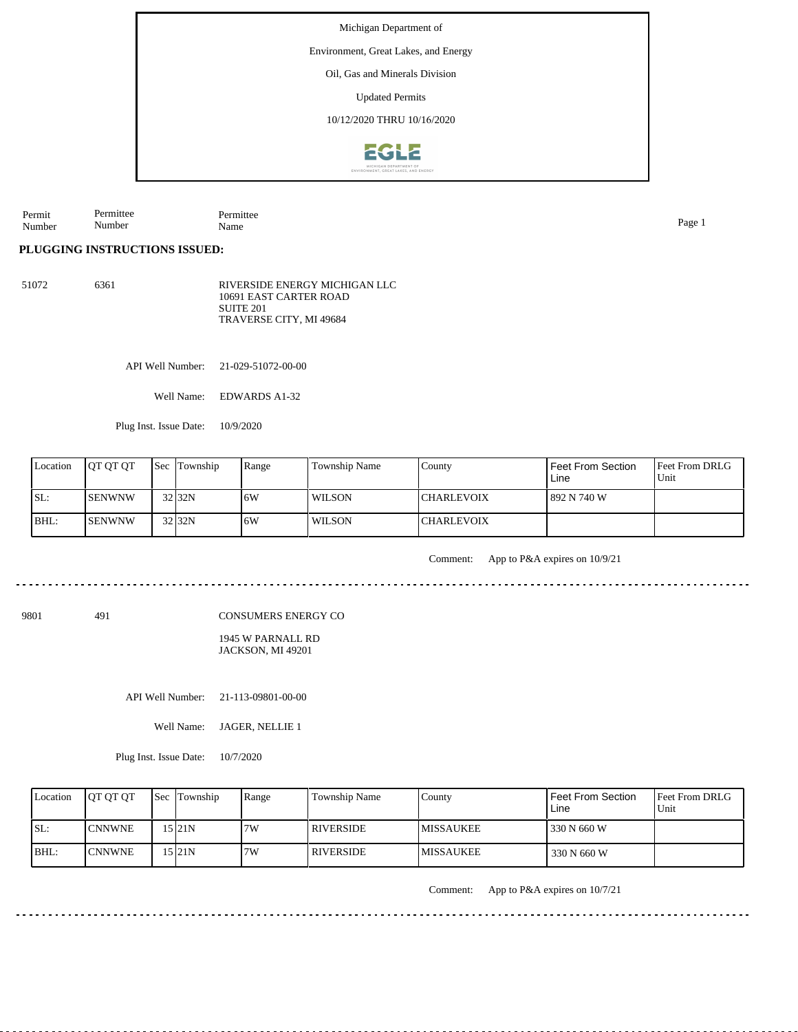Environment, Great Lakes, and Energy

Oil, Gas and Minerals Division

Updated Permits

10/12/2020 THRU 10/16/2020



Permit Number Permittee Name Page 1

## **PLUGGING INSTRUCTIONS ISSUED:**

Permittee Number

51072 6361 RIVERSIDE ENERGY MICHIGAN LLC 10691 EAST CARTER ROAD SUITE 201 TRAVERSE CITY, MI 49684

API Well Number: 21-029-51072-00-00

Well Name: EDWARDS A1-32

Plug Inst. Issue Date: 10/9/2020

| Location | <b>IOT OT OT</b> | <b>Sec Township</b> | Range | Township Name | County             | Feet From Section<br>Line | <b>Feet From DRLG</b><br>Unit |
|----------|------------------|---------------------|-------|---------------|--------------------|---------------------------|-------------------------------|
| SL:      | ISENWNW          | $32$ $32N$          | 16W   | l WILSON      | <b>ICHARLEVOIX</b> | 892 N 740 W               |                               |
| BHL:     | ISENWNW          | 32 32N              | ۱6W   | WILSON        | <b>CHARLEVOIX</b>  |                           |                               |

Comment: App to P&A expires on 10/9/21

CONSUMERS ENERGY CO

1945 W PARNALL RD JACKSON, MI 49201

API Well Number: 21-113-09801-00-00

Well Name: JAGER, NELLIE 1

Plug Inst. Issue Date: 10/7/2020

| Location | <b>OT OT OT</b> | <b>Sec</b> Township | Range | <b>Township Name</b> | Countv            | Feet From Section<br>Line | Feet From DRLG<br>Unit |
|----------|-----------------|---------------------|-------|----------------------|-------------------|---------------------------|------------------------|
| SL:      | <b>ICNNWNE</b>  | 15 21 N             | 7W    | <b>RIVERSIDE</b>     | <b>IMISSAUKEE</b> | 330 N 660 W               |                        |
| $ BHL$ : | <b>CNNWNE</b>   | 15 I 21 N           | 7W    | I RIVERSIDE.         | <b>IMISSAUKEE</b> | 330 N 660 W               |                        |

Comment: App to P&A expires on 10/7/21

<u>. . . . . . . . . .</u>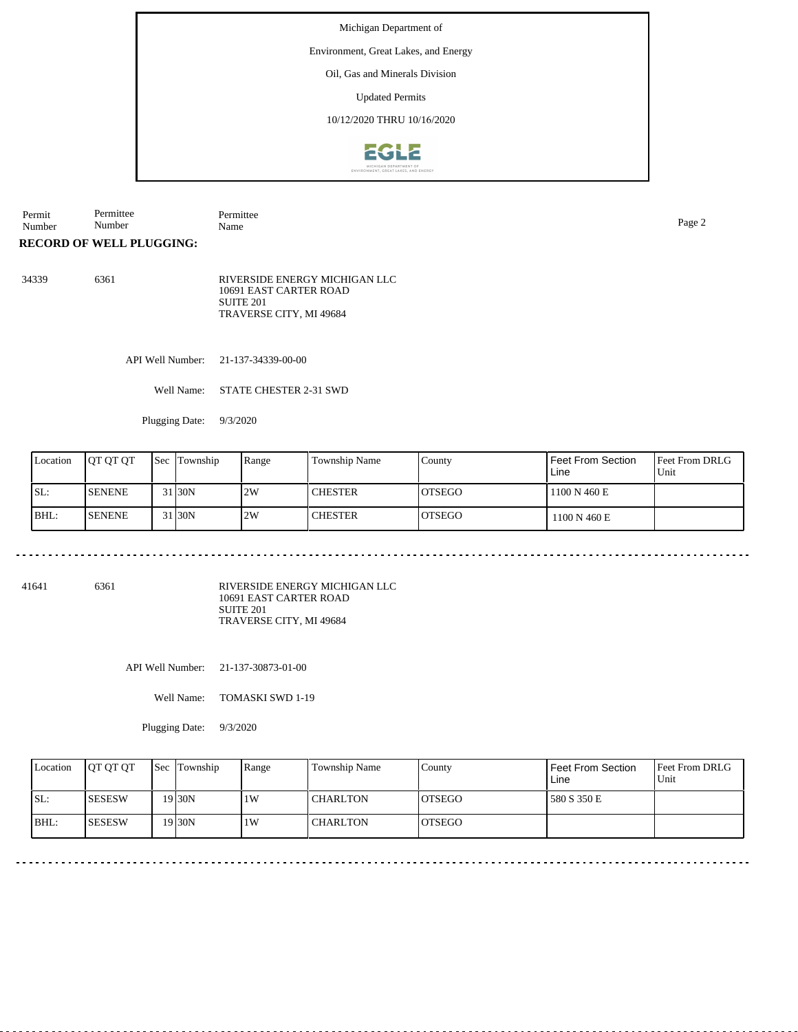## Environment, Great Lakes, and Energy

Oil, Gas and Minerals Division

Updated Permits

10/12/2020 THRU 10/16/2020



Permit Number Permittee Number Permittee Name Page 2

**RECORD OF WELL PLUGGING:**

34339 6361 RIVERSIDE ENERGY MICHIGAN LLC 10691 EAST CARTER ROAD SUITE 201 TRAVERSE CITY, MI 49684

API Well Number: 21-137-34339-00-00

Well Name: STATE CHESTER 2-31 SWD

Plugging Date: 9/3/2020

| Location | <b>IOT OT OT</b> | <b>Sec Township</b> | Range | Township Name  | County         | l Feet From Section<br>Line | l Feet From DRLG<br>Unit |
|----------|------------------|---------------------|-------|----------------|----------------|-----------------------------|--------------------------|
| SL:      | <b>ISENENE</b>   | 31 <sub>30</sub> N  | 2W    | <b>CHESTER</b> | IOTSEGO        | 1100 N 460 E                |                          |
| BHL:     | <b>ISENENE</b>   | 31 30N              | 2W    | <b>CHESTER</b> | <b>IOTSEGO</b> | 1100 N 460 E                |                          |

<u>. . . . . . . . . . .</u>

41641 6361

RIVERSIDE ENERGY MICHIGAN LLC 10691 EAST CARTER ROAD SUITE 201 TRAVERSE CITY, MI 49684

API Well Number: 21-137-30873-01-00

Well Name: TOMASKI SWD 1-19

Plugging Date: 9/3/2020

| Location | <b>OT OT OT</b> | <b>Sec</b> Township | Range | <b>Township Name</b> | County         | Feet From Section<br>Line | <b>Feet From DRLG</b><br>Unit |
|----------|-----------------|---------------------|-------|----------------------|----------------|---------------------------|-------------------------------|
| ISL:     | <b>ISESESW</b>  | 19 <sub>30</sub> N  | 1W    | <b>CHARLTON</b>      | <b>IOTSEGO</b> | 580 S 350 E               |                               |
| BHL:     | <b>ISESESW</b>  | 19 <sub>30</sub> N  | 1W    | <b>CHARLTON</b>      | <b>IOTSEGO</b> |                           |                               |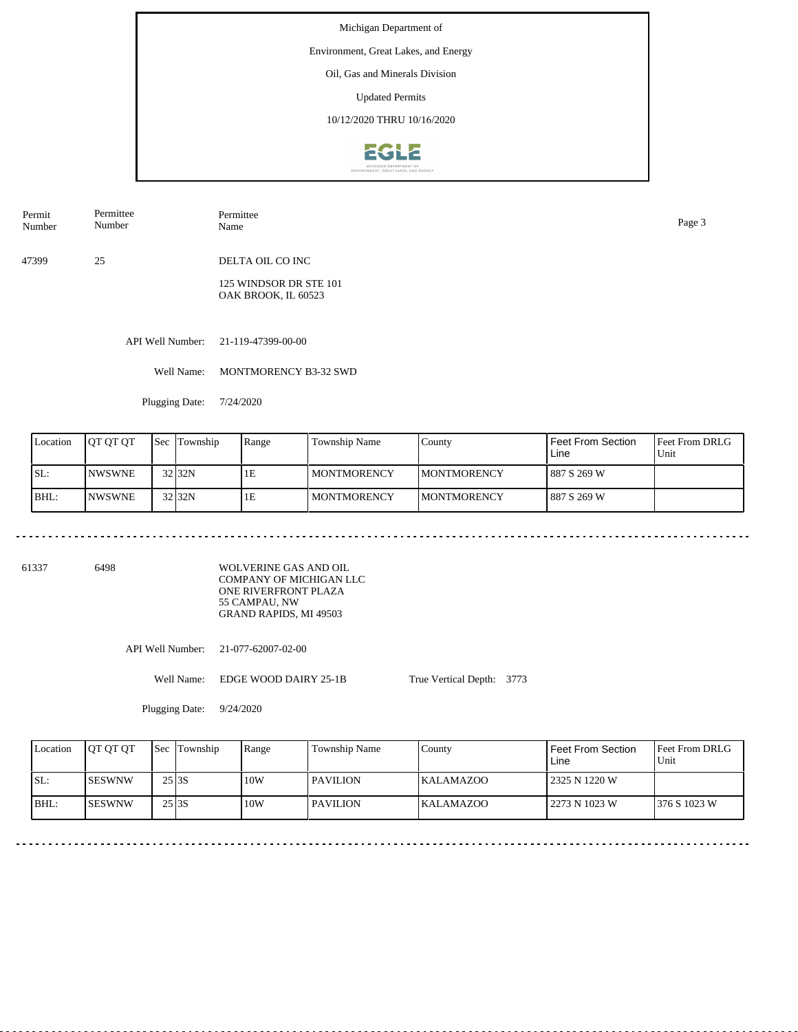#### Environment, Great Lakes, and Energy

Oil, Gas and Minerals Division

Updated Permits

10/12/2020 THRU 10/16/2020



| Permit<br>Number | Permittee<br>Number | Permittee<br>Name | Page 3 |
|------------------|---------------------|-------------------|--------|
|                  |                     |                   |        |

47399 25 DELTA OIL CO INC

> 125 WINDSOR DR STE 101 OAK BROOK, IL 60523

API Well Number: 21-119-47399-00-00

Well Name: MONTMORENCY B3-32 SWD

Plugging Date: 7/24/2020

| Location | <b>OT OT OT</b> | Sec | Township          | Range | <b>Township Name</b> | County              | <b>Feet From Section</b><br>Line | <b>IFeet From DRLG</b><br>Unit |
|----------|-----------------|-----|-------------------|-------|----------------------|---------------------|----------------------------------|--------------------------------|
| SL:      | <b>INWSWNE</b>  |     | 32 <sub>32N</sub> | 1E    | <b>I MONTMORENCY</b> | <b>IMONTMORENCY</b> | 887 S 269 W                      |                                |
| IBHL:    | <b>INWSWNE</b>  |     | 32 <sub>32N</sub> | 1E    | <b>I MONTMORENCY</b> | <b>IMONTMORENCY</b> | 887 S 269 W                      |                                |

61337 6498

WOLVERINE GAS AND OIL COMPANY OF MICHIGAN LLC ONE RIVERFRONT PLAZA 55 CAMPAU, NW GRAND RAPIDS, MI 49503

API Well Number: 21-077-62007-02-00

Well Name: EDGE WOOD DAIRY 25-1B

Plugging Date: 9/24/2020

| Location | <b>IOT OT OT</b> | <b>Sec</b> Township | Range | Township Name | County           | Feet From Section<br>Line | <b>Feet From DRLG</b><br>Unit |
|----------|------------------|---------------------|-------|---------------|------------------|---------------------------|-------------------------------|
| SL:      | ISESWNW          | $25$ <sub>3S</sub>  | 10W   | I PAVILION    | <b>KALAMAZOO</b> | 2325 N 1220 W             |                               |
| $IBHL$ : | <b>ISESWNW</b>   | $25$ <sub>3S</sub>  | 10W   | l PAVILION    | <b>KALAMAZOO</b> | 2273 N 1023 W             | 1376 S 1023 W                 |

True Vertical Depth: 3773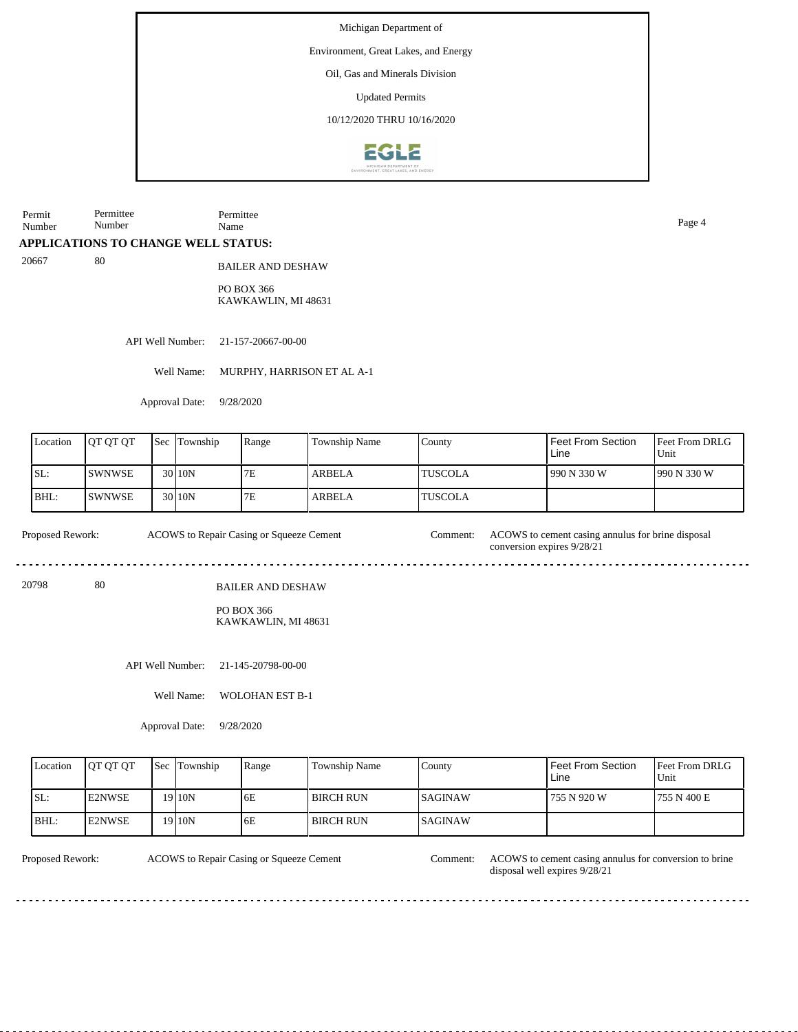#### Environment, Great Lakes, and Energy

Oil, Gas and Minerals Division

Updated Permits

10/12/2020 THRU 10/16/2020



Permit Number Permittee Number Permittee

**APPLICATIONS TO CHANGE WELL STATUS:**

20667 80

BAILER AND DESHAW

PO BOX 366 KAWKAWLIN, MI 48631

API Well Number: 21-157-20667-00-00

Well Name: MURPHY, HARRISON ET AL A-1

Approval Date: 9/28/2020

| Location | <b>IOT OT OT</b> | <b>Sec Township</b> | Range | <b>Township Name</b> | County          | Feet From Section<br>Line | <b>Feet From DRLG</b><br>Unit |
|----------|------------------|---------------------|-------|----------------------|-----------------|---------------------------|-------------------------------|
| SL:      | <b>SWNWSE</b>    | 30 10N              | 7Ε    | <b>ARBELA</b>        | <b>ITUSCOLA</b> | 1990 N 330 W              | 1990 N 330 W                  |
| BHL:     | ISWNWSE          | 30 10N              | 7Ε    | <b>ARBELA</b>        | <b>ITUSCOLA</b> |                           |                               |

ACOWS to Repair Casing or Squeeze Cement Proposed Rework: ACOWS to Repair Casing or Squeeze Cement Comment: ACOWS to cement casing annulus for brine disposal conversion expires 9/28/21 

20798 80

PO BOX 366 KAWKAWLIN, MI 48631

BAILER AND DESHAW

API Well Number: 21-145-20798-00-00

Well Name: WOLOHAN EST B-1

Approval Date: 9/28/2020

| Location | <b>IOT OT OT</b> | <b>Sec</b> Township | Range | Township Name    | County          | <b>Feet From Section</b><br>Line | <b>Feet From DRLG</b><br>Unit |
|----------|------------------|---------------------|-------|------------------|-----------------|----------------------------------|-------------------------------|
| SL:      | <b>E2NWSE</b>    | 19 10N              | 6E    | <b>BIRCH RUN</b> | <b>ISAGINAW</b> | 755 N 920 W                      | 1755 N 400 E                  |
| BHL:     | <b>E2NWSE</b>    | 19 <sub>10N</sub>   | 6E    | <b>BIRCH RUN</b> | <b>ISAGINAW</b> |                                  |                               |

ACOWS to Repair Casing or Squeeze Cement

Proposed Rework: ACOWS to Repair Casing or Squeeze Cement Comment: ACOWS to cement casing annulus for conversion to brine disposal well expires 9/28/21

Name Page 4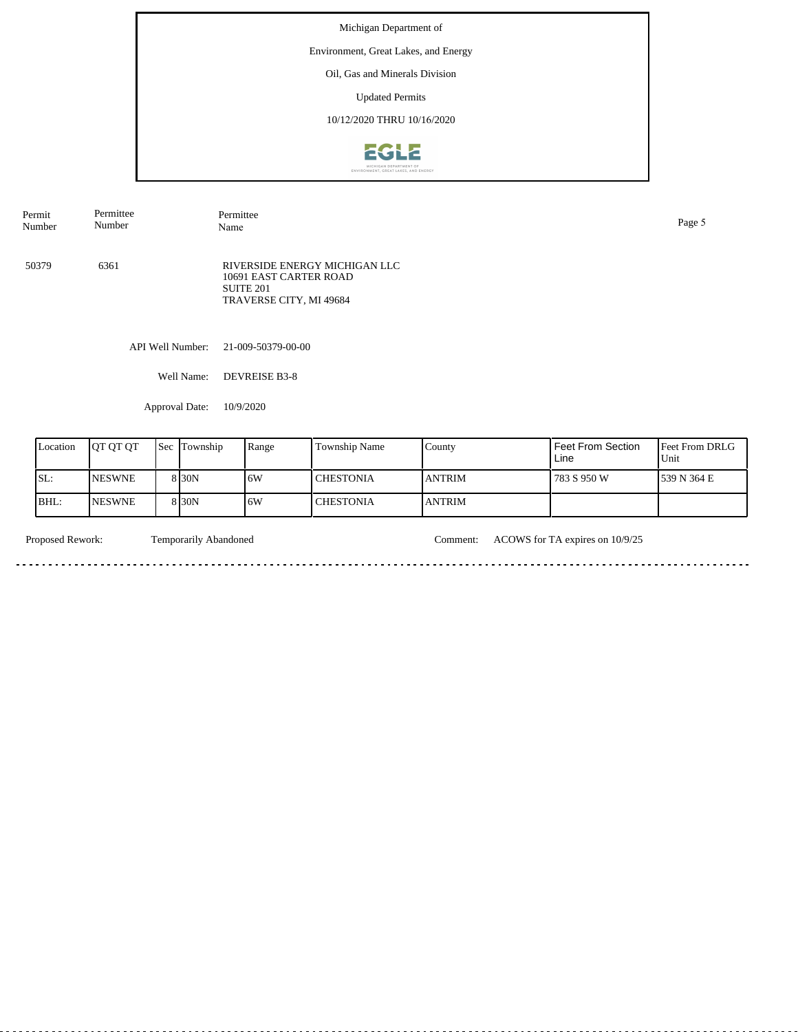### Environment, Great Lakes, and Energy

Oil, Gas and Minerals Division

Updated Permits

10/12/2020 THRU 10/16/2020



Permit Number Permittee Number Permittee Name Page 5 API Well Number: 21-009-50379-00-00 Well Name: DEVREISE B3-8 50379 6361 RIVERSIDE ENERGY MICHIGAN LLC 10691 EAST CARTER ROAD SUITE 201 TRAVERSE CITY, MI 49684

Approval Date: 10/9/2020

| Location | <b>IOT OT OT</b> | 'Sec | Township          | Range | Township Name | County         | Feet From Section<br>Line | <b>Feet From DRLG</b><br>Unit |
|----------|------------------|------|-------------------|-------|---------------|----------------|---------------------------|-------------------------------|
| SL:      | <b>NESWNE</b>    |      | 8 <sub>30</sub> N | 16W   | l CHESTONIA   | <b>JANTRIM</b> | 783 S 950 W               | 1539 N 364 E                  |
| IBHL:    | <b>NESWNE</b>    |      | 8 <sub>30</sub> N | 16W   | l CHESTONIA   | <b>ANTRIM</b>  |                           |                               |

 $\overline{\phantom{a}}$ 

Proposed Rework: Temporarily Abandoned Comment: ACOWS for TA expires on 10/9/25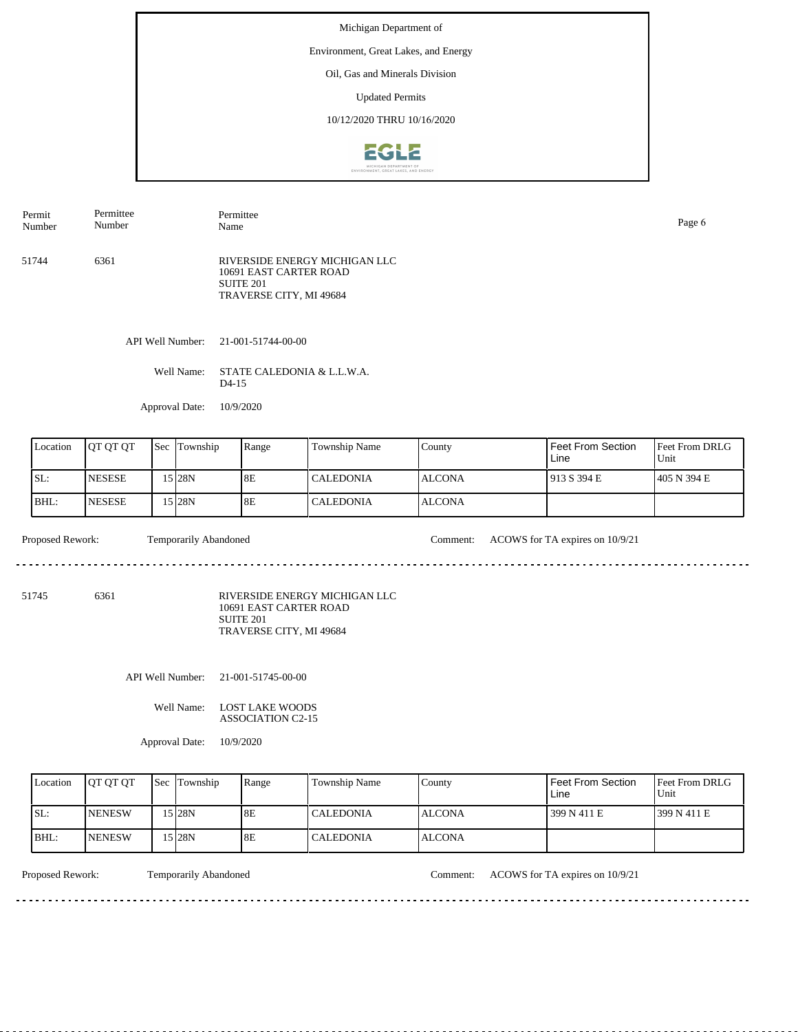#### Environment, Great Lakes, and Energy

Oil, Gas and Minerals Division

Updated Permits

10/12/2020 THRU 10/16/2020



API Well Number: 21-001-51744-00-00 51744 6361 RIVERSIDE ENERGY MICHIGAN LLC 10691 EAST CARTER ROAD SUITE 201 TRAVERSE CITY, MI 49684 Permit Number Permittee Number Permittee Name Page 6

Well Name: STATE CALEDONIA & L.L.W.A. D4-15

Approval Date: 10/9/2020

| Location | <b>OT OT OT</b> | <b>Sec</b> | Township | Range | Township Name    | County         | Feet From Section<br>Line | <b>Feet From DRLG</b><br>Unit |
|----------|-----------------|------------|----------|-------|------------------|----------------|---------------------------|-------------------------------|
| ISL:     | <b>INESESE</b>  |            | 15 28N   | 8E    | <b>CALEDONIA</b> | <b>IALCONA</b> | 1913 S 394 E              | 1405 N 394 E                  |
| BHL:     | <b>INESESE</b>  |            | 15 28N   | 8E    | <b>CALEDONIA</b> | <b>IALCONA</b> |                           |                               |

Proposed Rework: Temporarily Abandoned Comment: ACOWS for TA expires on 10/9/21

51745 6361

RIVERSIDE ENERGY MICHIGAN LLC 10691 EAST CARTER ROAD SUITE 201

TRAVERSE CITY, MI 49684

API Well Number: 21-001-51745-00-00

Well Name: LOST LAKE WOODS ASSOCIATION C2-15

Approval Date: 10/9/2020

| Location | <b>IOT OT OT</b> | <b>Sec</b> Township | Range | Township Name    | County        | Feet From Section<br>Line | <b>Feet From DRLG</b><br>Unit |
|----------|------------------|---------------------|-------|------------------|---------------|---------------------------|-------------------------------|
| SL:      | <b>INENESW</b>   | 15 I 28 N           | 8E    | <b>CALEDONIA</b> | <b>ALCONA</b> | 399 N 411 E               | 1399 N 411 E                  |
| IBHL:    | <b>INENESW</b>   | 15 I 28 N           | 8E    | <b>CALEDONIA</b> | I ALCONA      |                           |                               |

Proposed Rework: Temporarily Abandoned Comment: ACOWS for TA expires on 10/9/21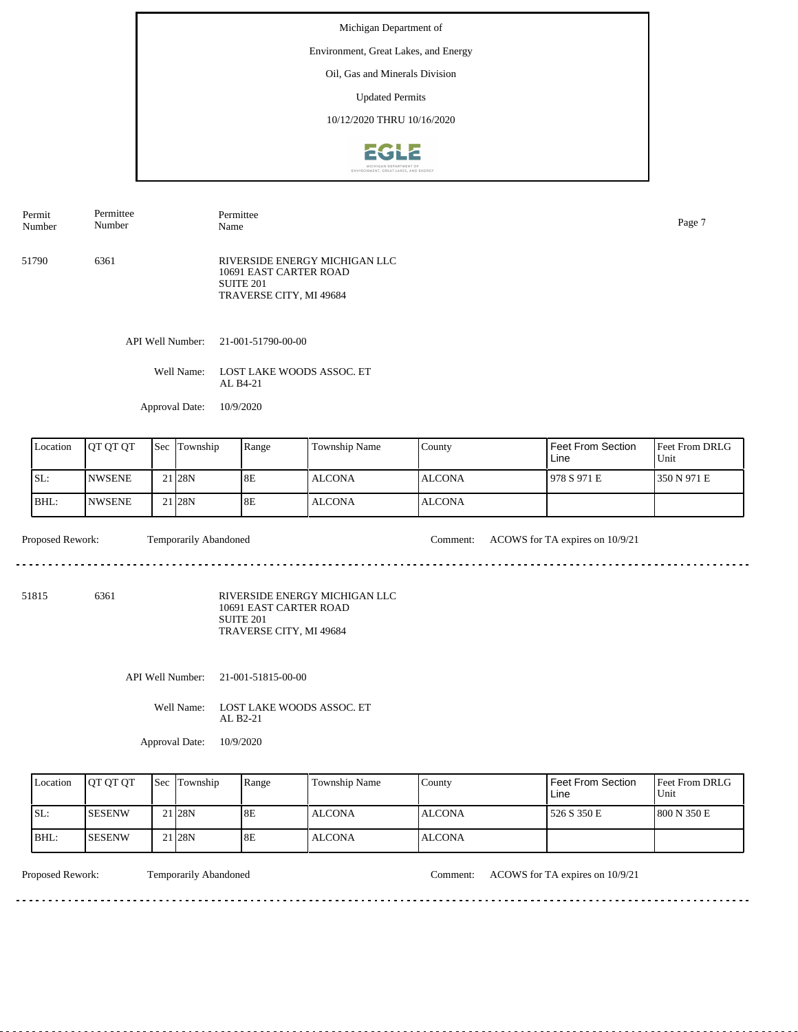#### Environment, Great Lakes, and Energy

Oil, Gas and Minerals Division

Updated Permits

10/12/2020 THRU 10/16/2020



| Permit<br>Number | Permittee<br>Number | Permittee<br>Name                                                                                          | Page 7 |
|------------------|---------------------|------------------------------------------------------------------------------------------------------------|--------|
| 51790            | 6361                | RIVERSIDE ENERGY MICHIGAN LLC<br>10691 EAST CARTER ROAD<br>SUITE <sub>201</sub><br>TRAVERSE CITY, MI 49684 |        |

API Well Number: 21-001-51790-00-00

Well Name: LOST LAKE WOODS ASSOC. ET AL B4-21

Approval Date: 10/9/2020

| Location | <b>IOT OT OT</b> | <b>Sec</b> | Township           | Range | Township Name | County         | Feet From Section<br>Line | <b>Feet From DRLG</b><br>Unit |
|----------|------------------|------------|--------------------|-------|---------------|----------------|---------------------------|-------------------------------|
| ISL:     | <b>INWSENE</b>   |            | 21 <sub>128N</sub> | 8E    | ALCONA        | <b>IALCONA</b> | 978 S 971 E               | 1350 N 971 E                  |
| BHL:     | <b>NWSENE</b>    |            | 21 <sub>28N</sub>  | 8E    | ALCONA        | <b>ALCONA</b>  |                           |                               |

Proposed Rework: Temporarily Abandoned Comment: ACOWS for TA expires on 10/9/21

51815 6361

RIVERSIDE ENERGY MICHIGAN LLC 10691 EAST CARTER ROAD SUITE 201

TRAVERSE CITY, MI 49684

API Well Number: 21-001-51815-00-00

Well Name: LOST LAKE WOODS ASSOC. ET AL B2-21

Approval Date: 10/9/2020

| Location | <b>OT OT OT</b> | <b>Sec</b> Township | Range | Township Name | County         | Feet From Section<br>Line | <b>IFeet From DRLG</b><br>Unit |
|----------|-----------------|---------------------|-------|---------------|----------------|---------------------------|--------------------------------|
| SL:      | <b>SESENW</b>   | 21 <sub>28N</sub>   | 8E    | <b>ALCONA</b> | <b>JALCONA</b> | 526 S 350 E               | 1800 N 350 E                   |
| BHL:     | <b>SESENW</b>   | 21 <sub>28N</sub>   | 8E    | <b>ALCONA</b> | <b>IALCONA</b> |                           |                                |

. . . . . . . . . . . . . . . . . .

Proposed Rework: Temporarily Abandoned Comment: ACOWS for TA expires on 10/9/21

<u>. . . . . . . . . . . . .</u>

<u>. . . . . . . . . . . . . . . . . . .</u>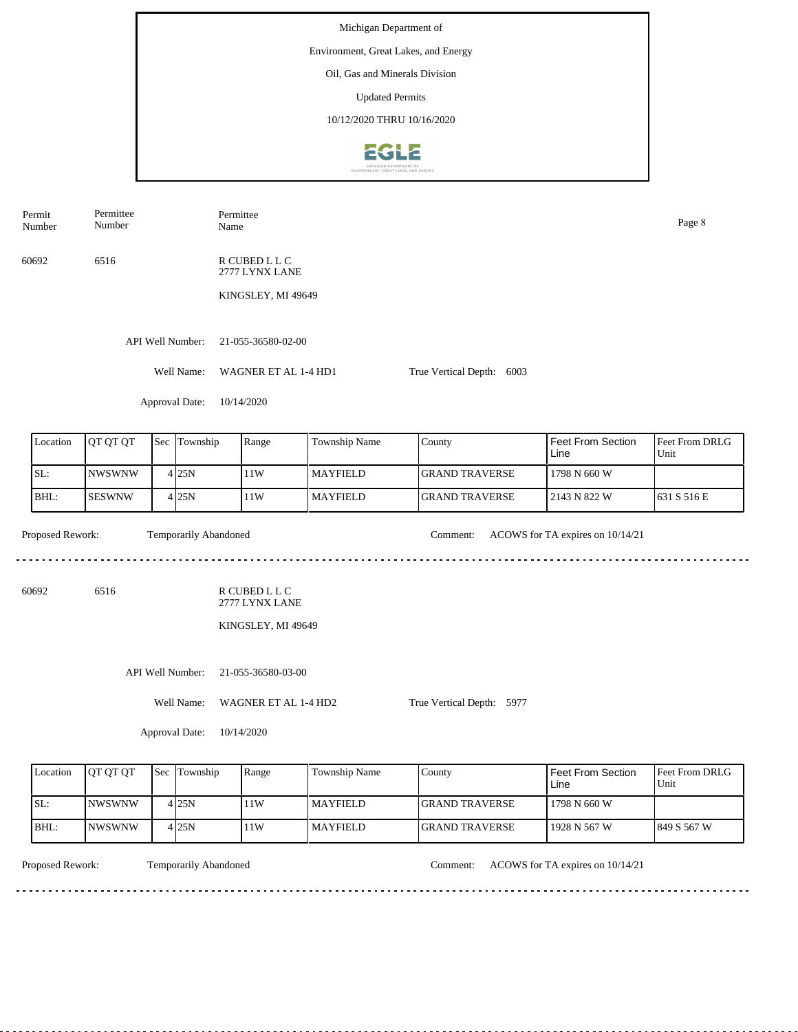Michigan Department of Environment, Great Lakes, and Energy Oil, Gas and Minerals Division Updated Permits 10/12/2020 THRU 10/16/2020EGLE

| Permit<br>Number | Permittee<br>Number | Name                  | Permittee                                             |                 |                           |                                  | Page 8                 |
|------------------|---------------------|-----------------------|-------------------------------------------------------|-----------------|---------------------------|----------------------------------|------------------------|
| 60692            | 6516                |                       | R CUBED L L C<br>2777 LYNX LANE                       |                 |                           |                                  |                        |
|                  |                     |                       | KINGSLEY, MI 49649                                    |                 |                           |                                  |                        |
|                  |                     | API Well Number:      | 21-055-36580-02-00                                    |                 |                           |                                  |                        |
|                  |                     | Well Name:            | WAGNER ET AL 1-4 HD1                                  |                 | True Vertical Depth: 6003 |                                  |                        |
|                  |                     | Approval Date:        | 10/14/2020                                            |                 |                           |                                  |                        |
| Location         | QT QT QT            | Sec Township          | Range                                                 | Township Name   | County                    | Feet From Section<br>Line        | Feet From DRLG<br>Unit |
| SL:              | <b>NWSWNW</b>       | 4 25N                 | $11\rm{W}$                                            | <b>MAYFIELD</b> | <b>GRAND TRAVERSE</b>     | 1798 N 660 W                     |                        |
| BHL:             | <b>SESWNW</b>       | 4 25N                 | 11W                                                   | <b>MAYFIELD</b> | <b>GRAND TRAVERSE</b>     | 2143 N 822 W                     | 631 S 516 E            |
| Proposed Rework: |                     | Temporarily Abandoned |                                                       |                 | Comment:                  | ACOWS for TA expires on 10/14/21 |                        |
| 60692            | 6516                |                       | R CUBED L L C<br>2777 LYNX LANE<br>KINGSLEY, MI 49649 |                 |                           |                                  |                        |
|                  |                     | API Well Number:      | 21-055-36580-03-00                                    |                 |                           |                                  |                        |
|                  |                     | Well Name:            | WAGNER ET AL 1-4 HD2                                  |                 | True Vertical Depth: 5977 |                                  |                        |
|                  |                     | Approval Date:        | 10/14/2020                                            |                 |                           |                                  |                        |
| Location         | QT QT QT            | Sec Township          | Range                                                 | Township Name   | County                    | Feet From Section<br>Line        | Feet From DRLG<br>Unit |
| SL:              | <b>NWSWNW</b>       | 425N                  | 11W                                                   | <b>MAYFIELD</b> | <b>GRAND TRAVERSE</b>     | 1798 N 660 W                     |                        |

NWSWNW

<u>. . . . . . . .</u>

BHL:

Temporarily Abandoned

 $4|25N$ 

Proposed Rework: Temporarily Abandoned Comment: ACOWS for TA expires on  $10/14/21$ 

1928 N 567 W

849 S 567 W

<u> - - - - - - - - - - -</u>

 $\frac{1}{2}$ 

11W

GRAND TRAVERSE MAYFIELD

 $- - - - - - -$